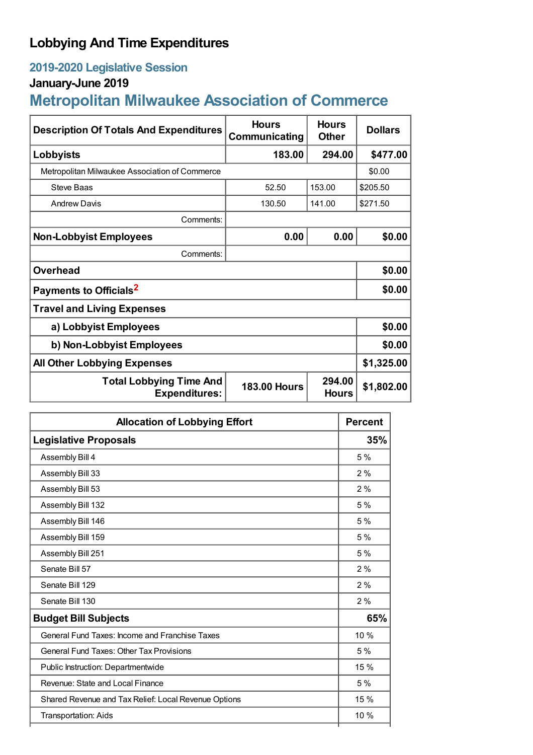## **Lobbying And Time Expenditures**

## **2019-2020 Legislative Session**

## **January-June 2019**

# **Metropolitan Milwaukee Association of Commerce**

| <b>Description Of Totals And Expenditures</b>          | <b>Hours</b><br>Communicating | <b>Hours</b><br><b>Other</b> | <b>Dollars</b> |
|--------------------------------------------------------|-------------------------------|------------------------------|----------------|
| Lobbyists                                              | 183.00                        | 294.00                       | \$477.00       |
| Metropolitan Milwaukee Association of Commerce         |                               |                              | \$0.00         |
| <b>Steve Baas</b>                                      | 52.50                         | 153.00                       | \$205.50       |
| <b>Andrew Davis</b>                                    | 130.50                        | 141.00                       | \$271.50       |
| Comments:                                              |                               |                              |                |
| <b>Non-Lobbyist Employees</b>                          | 0.00                          | 0.00                         | \$0.00         |
| Comments:                                              |                               |                              |                |
| <b>Overhead</b>                                        |                               |                              | \$0.00         |
| Payments to Officials <sup>2</sup>                     |                               |                              | \$0.00         |
| <b>Travel and Living Expenses</b>                      |                               |                              |                |
| a) Lobbyist Employees                                  |                               |                              | \$0.00         |
| b) Non-Lobbyist Employees                              |                               |                              | \$0.00         |
| <b>All Other Lobbying Expenses</b>                     |                               |                              | \$1,325.00     |
| <b>Total Lobbying Time And</b><br><b>Expenditures:</b> | <b>183.00 Hours</b>           | 294.00<br><b>Hours</b>       | \$1,802.00     |

| <b>Allocation of Lobbying Effort</b>                 |      |
|------------------------------------------------------|------|
| <b>Legislative Proposals</b>                         |      |
| Assembly Bill 4                                      | 5 %  |
| Assembly Bill 33                                     | 2%   |
| Assembly Bill 53                                     | 2%   |
| Assembly Bill 132                                    | 5 %  |
| Assembly Bill 146                                    | 5%   |
| Assembly Bill 159                                    | 5%   |
| Assembly Bill 251                                    | 5%   |
| Senate Bill 57                                       | 2%   |
| Senate Bill 129                                      | 2%   |
| Senate Bill 130                                      | 2%   |
| <b>Budget Bill Subjects</b>                          |      |
| General Fund Taxes: Income and Franchise Taxes       | 10 % |
| <b>General Fund Taxes: Other Tax Provisions</b>      | 5 %  |
| Public Instruction: Departmentwide                   | 15 % |
| Revenue: State and Local Finance                     | 5%   |
| Shared Revenue and Tax Relief: Local Revenue Options | 15 % |
| Transportation: Aids                                 | 10 % |